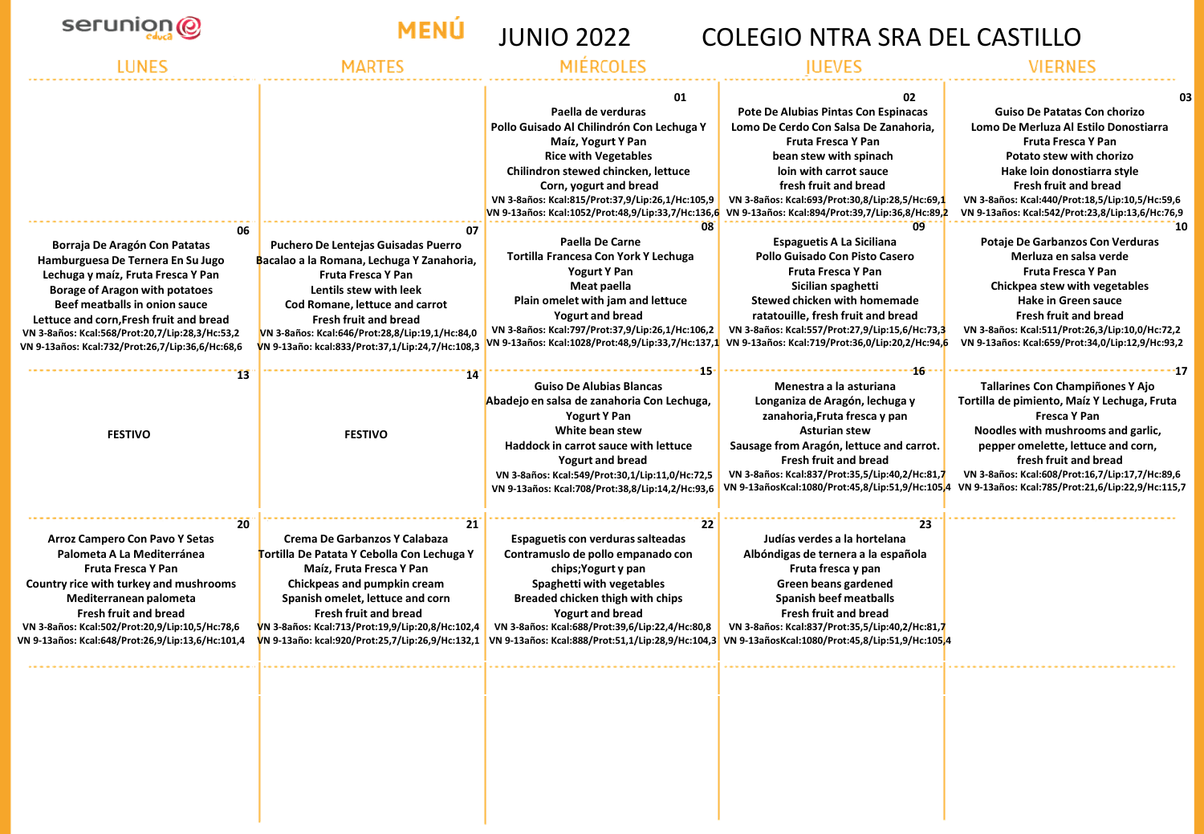

# **MENÚ**

# JUNIO 2022 COLEGIO NTRA SRA DEL CASTILLO

| 06                                                                                                                                                                                                                                                                                                                                   | 07                                                                                                                                                                                                                                                                                                                       | 01<br>Paella de verduras<br>Pollo Guisado Al Chilindrón Con Lechuga Y<br>Maíz, Yogurt Y Pan<br><b>Rice with Vegetables</b><br>Chilindron stewed chincken, lettuce<br>Corn, yogurt and bread<br>VN 3-8años: Kcal:815/Prot:37,9/Lip:26,1/Hc:105,9<br>VN 9-13años: Kcal:1052/Prot:48,9/Lip:33,7/Hc:136,6<br>08                                              | 02.<br>Pote De Alubias Pintas Con Espinacas<br>Lomo De Cerdo Con Salsa De Zanahoria.<br><b>Fruta Fresca Y Pan</b><br>bean stew with spinach<br>loin with carrot sauce<br>fresh fruit and bread<br>VN 3-8años: Kcal:693/Prot:30,8/Lip:28,5/Hc:69,1<br>VN 9-13años: Kcal:894/Prot:39,7/Lip:36,8/Hc:89,2<br>09 | <b>Guiso De Patatas Con chorizo</b><br>Lomo De Merluza Al Estilo Donostiarra<br><b>Fruta Fresca Y Pan</b><br>Potato stew with chorizo<br>Hake loin donostiarra style<br><b>Fresh fruit and bread</b><br>VN 3-8años: Kcal:440/Prot:18,5/Lip:10,5/Hc:59,6<br>VN 9-13años: Kcal:542/Prot:23,8/Lip:13,6/Hc:76,9                                                                 |
|--------------------------------------------------------------------------------------------------------------------------------------------------------------------------------------------------------------------------------------------------------------------------------------------------------------------------------------|--------------------------------------------------------------------------------------------------------------------------------------------------------------------------------------------------------------------------------------------------------------------------------------------------------------------------|----------------------------------------------------------------------------------------------------------------------------------------------------------------------------------------------------------------------------------------------------------------------------------------------------------------------------------------------------------|-------------------------------------------------------------------------------------------------------------------------------------------------------------------------------------------------------------------------------------------------------------------------------------------------------------|-----------------------------------------------------------------------------------------------------------------------------------------------------------------------------------------------------------------------------------------------------------------------------------------------------------------------------------------------------------------------------|
| Borraja De Aragón Con Patatas<br>Hamburguesa De Ternera En Su Jugo<br>Lechuga y maíz, Fruta Fresca Y Pan<br><b>Borage of Aragon with potatoes</b><br>Beef meatballs in onion sauce<br>Lettuce and corn, Fresh fruit and bread<br>VN 3-8años: Kcal:568/Prot:20,7/Lip:28,3/Hc:53,2<br>VN 9-13años: Kcal:732/Prot:26,7/Lip:36,6/Hc:68,6 | <b>Puchero De Lentejas Guisadas Puerro</b><br>Bacalao a la Romana, Lechuga Y Zanahoria,<br><b>Fruta Fresca Y Pan</b><br>Lentils stew with leek<br>Cod Romane, lettuce and carrot<br><b>Fresh fruit and bread</b><br>VN 3-8años: Kcal:646/Prot:28,8/Lip:19,1/Hc:84,0<br>VN 9-13año: kcal:833/Prot:37,1/Lip:24,7/Hc:108,3  | Paella De Carne<br>Tortilla Francesa Con York Y Lechuga<br><b>Yogurt Y Pan</b><br>Meat paella<br>Plain omelet with jam and lettuce<br><b>Yogurt and bread</b><br>VN 3-8años: Kcal:797/Prot:37,9/Lip:26,1/Hc:106,2<br>VN 9-13años: Kcal:1028/Prot:48,9/Lip:33,7/Hc:137,1                                                                                  | <b>Espaguetis A La Siciliana</b><br>Pollo Guisado Con Pisto Casero<br>Fruta Fresca Y Pan<br>Sicilian spaghetti<br>Stewed chicken with homemade<br>ratatouille, fresh fruit and bread<br>VN 3-8años: Kcal:557/Prot:27,9/Lip:15,6/Hc:73,3<br>VN 9-13años: Kcal:719/Prot:36,0/Lip:20,2/Hc:94,6                 | Potaje De Garbanzos Con Verduras<br>Merluza en salsa verde<br><b>Fruta Fresca Y Pan</b><br>Chickpea stew with vegetables<br><b>Hake in Green sauce</b><br><b>Fresh fruit and bread</b><br>VN 3-8años: Kcal:511/Prot:26,3/Lip:10,0/Hc:72,2<br>VN 9-13años: Kcal:659/Prot:34,0/Lip:12,9/Hc:93,2                                                                               |
| 13<br><b>FESTIVO</b>                                                                                                                                                                                                                                                                                                                 | 14<br><b>FESTIVO</b>                                                                                                                                                                                                                                                                                                     | <b>Guiso De Alubias Blancas</b><br>Abadejo en salsa de zanahoria Con Lechuga,<br>Yogurt Y Pan<br>White bean stew<br>Haddock in carrot sauce with lettuce<br><b>Yogurt and bread</b><br>VN 3-8años: Kcal:549/Prot:30,1/Lip:11,0/Hc:72,5<br>VN 9-13años: Kcal:708/Prot:38,8/Lip:14,2/Hc:93,6                                                               | -16<br>Menestra a la asturiana<br>Longaniza de Aragón, lechuga y<br>zanahoria, Fruta fresca y pan<br><b>Asturian stew</b><br>Sausage from Aragón, lettuce and carrot.<br><b>Fresh fruit and bread</b><br>VN 3-8años: Kcal:837/Prot:35,5/Lip:40,2/Hc:81,7                                                    | <b>Tallarines Con Champiñones Y Ajo</b><br>Tortilla de pimiento, Maíz Y Lechuga, Fruta<br><b>Fresca Y Pan</b><br>Noodles with mushrooms and garlic,<br>pepper omelette, lettuce and corn,<br>fresh fruit and bread<br>VN 3-8años: Kcal:608/Prot:16,7/Lip:17,7/Hc:89,6<br>VN 9-13añosKcal:1080/Prot:45,8/Lip:51,9/Hc:105,4 VN 9-13años: Kcal:785/Prot:21,6/Lip:22,9/Hc:115,7 |
| 20<br><b>Arroz Campero Con Pavo Y Setas</b><br>Palometa A La Mediterránea<br><b>Fruta Fresca Y Pan</b><br>Country rice with turkey and mushrooms<br>Mediterranean palometa<br><b>Fresh fruit and bread</b><br>VN 3-8años: Kcal:502/Prot:20,9/Lip:10,5/Hc:78,6<br>VN 9-13años: Kcal:648/Prot:26,9/Lip:13,6/Hc:101,4                   | 21<br>Crema De Garbanzos Y Calabaza<br>Tortilla De Patata Y Cebolla Con Lechuga Y<br>Maíz, Fruta Fresca Y Pan<br>Chickpeas and pumpkin cream<br>Spanish omelet, lettuce and corn<br><b>Fresh fruit and bread</b><br>VN 3-8años: Kcal:713/Prot:19,9/Lip:20,8/Hc:102,4<br>VN 9-13año: kcal:920/Prot:25,7/Lip:26,9/Hc:132,1 | 22<br>Espaguetis con verduras salteadas<br>Contramusio de pollo empanado con<br>chips; Yogurt y pan<br>Spaghetti with vegetables<br>Breaded chicken thigh with chips<br><b>Yogurt and bread</b><br>VN 3-8años: Kcal:688/Prot:39,6/Lip:22,4/Hc:80,8<br>VN 9-13años: Kcal:888/Prot:51,1/Lip:28,9/Hc:104,3 VN 9-13añosKcal:1080/Prot:45,8/Lip:51,9/Hc:105,4 | 23<br>Judías verdes a la hortelana<br>Albóndigas de ternera a la española<br>Fruta fresca y pan<br>Green beans gardened<br>Spanish beef meatballs<br><b>Fresh fruit and bread</b><br>VN 3-8años: Kcal:837/Prot:35,5/Lip:40,2/Hc:81,7                                                                        |                                                                                                                                                                                                                                                                                                                                                                             |